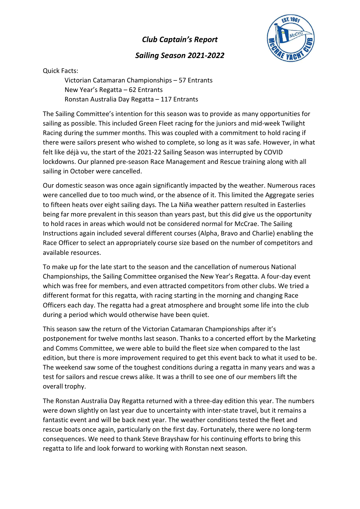## Club Captain's Report

## Sailing Season 2021-2022



Quick Facts:

 Victorian Catamaran Championships – 57 Entrants New Year's Regatta – 62 Entrants Ronstan Australia Day Regatta – 117 Entrants

The Sailing Committee's intention for this season was to provide as many opportunities for sailing as possible. This included Green Fleet racing for the juniors and mid-week Twilight Racing during the summer months. This was coupled with a commitment to hold racing if there were sailors present who wished to complete, so long as it was safe. However, in what felt like déjà vu, the start of the 2021-22 Sailing Season was interrupted by COVID lockdowns. Our planned pre-season Race Management and Rescue training along with all sailing in October were cancelled.

Our domestic season was once again significantly impacted by the weather. Numerous races were cancelled due to too much wind, or the absence of it. This limited the Aggregate series to fifteen heats over eight sailing days. The La Niña weather pattern resulted in Easterlies being far more prevalent in this season than years past, but this did give us the opportunity to hold races in areas which would not be considered normal for McCrae. The Sailing Instructions again included several different courses (Alpha, Bravo and Charlie) enabling the Race Officer to select an appropriately course size based on the number of competitors and available resources.

To make up for the late start to the season and the cancellation of numerous National Championships, the Sailing Committee organised the New Year's Regatta. A four-day event which was free for members, and even attracted competitors from other clubs. We tried a different format for this regatta, with racing starting in the morning and changing Race Officers each day. The regatta had a great atmosphere and brought some life into the club during a period which would otherwise have been quiet.

This season saw the return of the Victorian Catamaran Championships after it's postponement for twelve months last season. Thanks to a concerted effort by the Marketing and Comms Committee, we were able to build the fleet size when compared to the last edition, but there is more improvement required to get this event back to what it used to be. The weekend saw some of the toughest conditions during a regatta in many years and was a test for sailors and rescue crews alike. It was a thrill to see one of our members lift the overall trophy.

The Ronstan Australia Day Regatta returned with a three-day edition this year. The numbers were down slightly on last year due to uncertainty with inter-state travel, but it remains a fantastic event and will be back next year. The weather conditions tested the fleet and rescue boats once again, particularly on the first day. Fortunately, there were no long-term consequences. We need to thank Steve Brayshaw for his continuing efforts to bring this regatta to life and look forward to working with Ronstan next season.